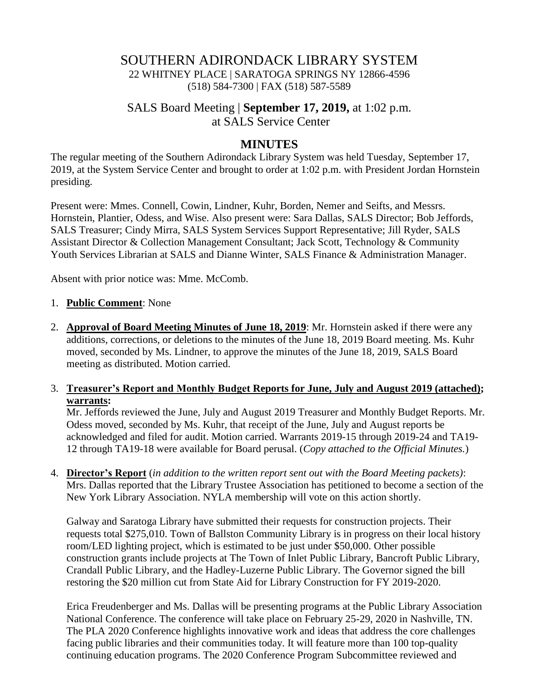# SOUTHERN ADIRONDACK LIBRARY SYSTEM 22 WHITNEY PLACE | SARATOGA SPRINGS NY 12866-4596 (518) 584-7300 | FAX (518) 587-5589

# SALS Board Meeting | **September 17, 2019,** at 1:02 p.m. at SALS Service Center

#### **MINUTES**

The regular meeting of the Southern Adirondack Library System was held Tuesday, September 17, 2019, at the System Service Center and brought to order at 1:02 p.m. with President Jordan Hornstein presiding.

Present were: Mmes. Connell, Cowin, Lindner, Kuhr, Borden, Nemer and Seifts, and Messrs. Hornstein, Plantier, Odess, and Wise. Also present were: Sara Dallas, SALS Director; Bob Jeffords, SALS Treasurer; Cindy Mirra, SALS System Services Support Representative; Jill Ryder, SALS Assistant Director & Collection Management Consultant; Jack Scott, Technology & Community Youth Services Librarian at SALS and Dianne Winter, SALS Finance & Administration Manager.

Absent with prior notice was: Mme. McComb.

#### 1. **Public Comment**: None

2. **Approval of Board Meeting Minutes of June 18, 2019**: Mr. Hornstein asked if there were any additions, corrections, or deletions to the minutes of the June 18, 2019 Board meeting. Ms. Kuhr moved, seconded by Ms. Lindner, to approve the minutes of the June 18, 2019, SALS Board meeting as distributed. Motion carried.

#### 3. **Treasurer's Report and Monthly Budget Reports for June, July and August 2019 (attached); warrants:**

Mr. Jeffords reviewed the June, July and August 2019 Treasurer and Monthly Budget Reports. Mr. Odess moved, seconded by Ms. Kuhr, that receipt of the June, July and August reports be acknowledged and filed for audit. Motion carried. Warrants 2019-15 through 2019-24 and TA19- 12 through TA19-18 were available for Board perusal. (*Copy attached to the Official Minutes.*)

4. **Director's Report** (*in addition to the written report sent out with the Board Meeting packets)*: Mrs. Dallas reported that the Library Trustee Association has petitioned to become a section of the New York Library Association. NYLA membership will vote on this action shortly.

Galway and Saratoga Library have submitted their requests for construction projects. Their requests total \$275,010. Town of Ballston Community Library is in progress on their local history room/LED lighting project, which is estimated to be just under \$50,000. Other possible construction grants include projects at The Town of Inlet Public Library, Bancroft Public Library, Crandall Public Library, and the Hadley-Luzerne Public Library. The Governor signed the bill restoring the \$20 million cut from State Aid for Library Construction for FY 2019-2020.

Erica Freudenberger and Ms. Dallas will be presenting programs at the Public Library Association National Conference. The conference will take place on February 25-29, 2020 in Nashville, TN. The PLA 2020 Conference highlights innovative work and ideas that address the core challenges facing public libraries and their communities today. It will feature more than 100 top-quality continuing education programs. The 2020 Conference Program Subcommittee reviewed and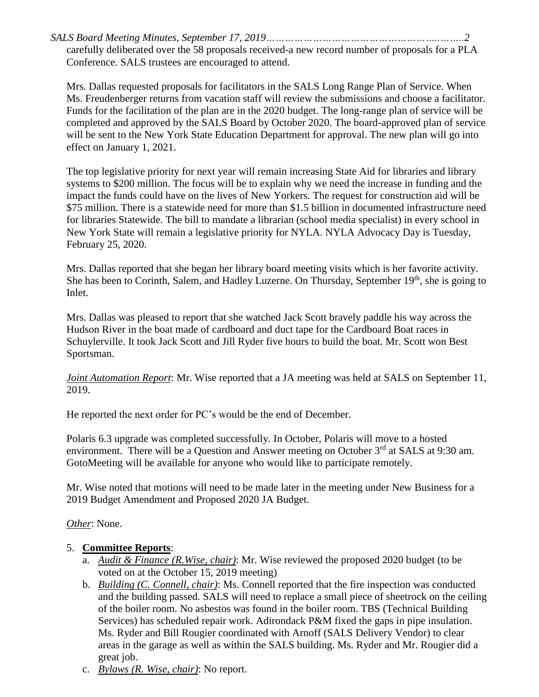*SALS Board Meeting Minutes, September 17, 2019………………………………………………..……..2* carefully deliberated over the 58 proposals received-a new record number of proposals for a PLA Conference. SALS trustees are encouraged to attend.

Mrs. Dallas requested proposals for facilitators in the SALS Long Range Plan of Service. When Ms. Freudenberger returns from vacation staff will review the submissions and choose a facilitator. Funds for the facilitation of the plan are in the 2020 budget. The long-range plan of service will be completed and approved by the SALS Board by October 2020. The board-approved plan of service will be sent to the New York State Education Department for approval. The new plan will go into effect on January 1, 2021.

The top legislative priority for next year will remain increasing State Aid for libraries and library systems to \$200 million. The focus will be to explain why we need the increase in funding and the impact the funds could have on the lives of New Yorkers. The request for construction aid will be \$75 million. There is a statewide need for more than \$1.5 billion in documented infrastructure need for libraries Statewide. The bill to mandate a librarian (school media specialist) in every school in New York State will remain a legislative priority for NYLA. NYLA Advocacy Day is Tuesday, February 25, 2020.

Mrs. Dallas reported that she began her library board meeting visits which is her favorite activity. She has been to Corinth, Salem, and Hadley Luzerne. On Thursday, September 19<sup>th</sup>, she is going to Inlet.

Mrs. Dallas was pleased to report that she watched Jack Scott bravely paddle his way across the Hudson River in the boat made of cardboard and duct tape for the Cardboard Boat races in Schuylerville. It took Jack Scott and Jill Ryder five hours to build the boat. Mr. Scott won Best Sportsman.

*Joint Automation Report*: Mr. Wise reported that a JA meeting was held at SALS on September 11, 2019.

He reported the next order for PC's would be the end of December.

Polaris 6.3 upgrade was completed successfully. In October, Polaris will move to a hosted environment. There will be a Question and Answer meeting on October  $3<sup>rd</sup>$  at SALS at 9:30 am. GotoMeeting will be available for anyone who would like to participate remotely.

Mr. Wise noted that motions will need to be made later in the meeting under New Business for a 2019 Budget Amendment and Proposed 2020 JA Budget.

*Other*: None.

## 5. **Committee Reports**:

- a. *Audit & Finance (R.Wise, chair)*: Mr. Wise reviewed the proposed 2020 budget (to be voted on at the October 15, 2019 meeting)
- b. *Building (C. Connell, chair)*: Ms. Connell reported that the fire inspection was conducted and the building passed. SALS will need to replace a small piece of sheetrock on the ceiling of the boiler room. No asbestos was found in the boiler room. TBS (Technical Building Services) has scheduled repair work. Adirondack P&M fixed the gaps in pipe insulation. Ms. Ryder and Bill Rougier coordinated with Arnoff (SALS Delivery Vendor) to clear areas in the garage as well as within the SALS building. Ms. Ryder and Mr. Rougier did a great job.
- c. *Bylaws (R. Wise, chair)*: No report.